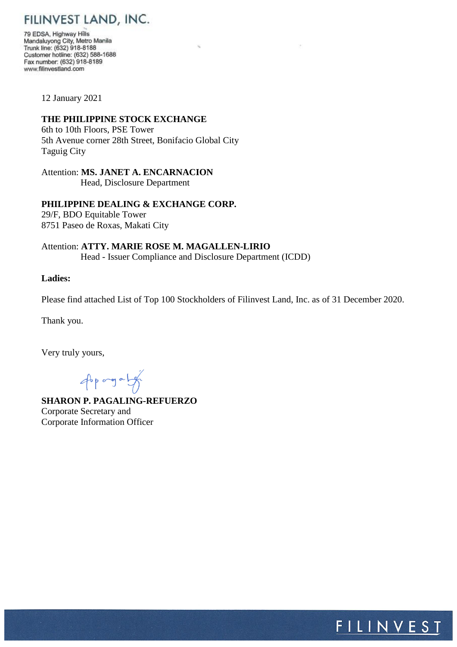FILINVEST LAND, INC.

79 EDSA, Highway Hills Mandaluyong City, Metro Manila Trunk line: (632) 918-8188 Customer hotline: (632) 588-1688 Fax number: (632) 918-8189 www.filinvestland.com

12 January 2021

# **THE PHILIPPINE STOCK EXCHANGE**

6th to 10th Floors, PSE Tower 5th Avenue corner 28th Street, Bonifacio Global City Taguig City

Attention: **MS. JANET A. ENCARNACION** Head, Disclosure Department

**PHILIPPINE DEALING & EXCHANGE CORP.**

29/F, BDO Equitable Tower 8751 Paseo de Roxas, Makati City

Attention: **ATTY. MARIE ROSE M. MAGALLEN-LIRIO** Head - Issuer Compliance and Disclosure Department (ICDD)

### **Ladies:**

Please find attached List of Top 100 Stockholders of Filinvest Land, Inc. as of 31 December 2020.

Thank you.

Very truly yours,

Approgram

**SHARON P. PAGALING-REFUERZO** Corporate Secretary and Corporate Information Officer

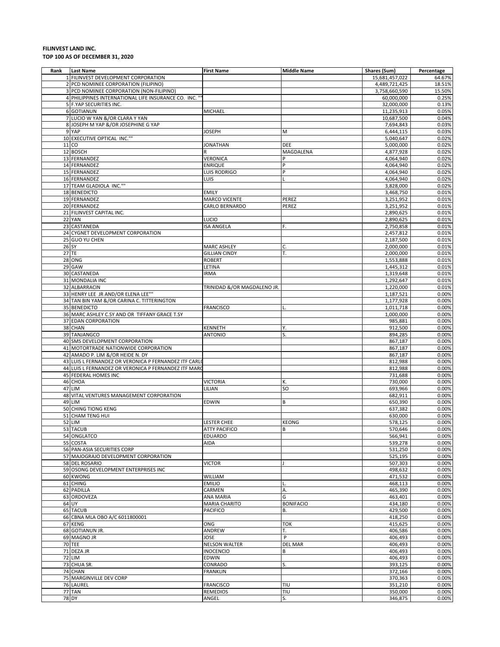#### **FILINVEST LAND INC. TOP 100 AS OF DECEMBER 31, 2020**

| Rank | <b>Last Name</b>                                      | <b>First Name</b>           | Middle Name      | Shares (Sum)   | Percentage |
|------|-------------------------------------------------------|-----------------------------|------------------|----------------|------------|
|      | 1 FILINVEST DEVELOPMENT CORPORATION                   |                             |                  | 15,681,457,022 | 64.67%     |
|      | 2 PCD NOMINEE CORPORATION (FILIPINO)                  |                             |                  | 4,489,721,425  | 18.51%     |
|      | 3 PCD NOMINEE CORPORATION (NON-FILIPINO)              |                             |                  | 3,758,660,590  | 15.50%     |
|      | 4 PHILIPPINES INTERNATIONAL LIFE INSURANCE CO. INC."  |                             |                  |                | 0.25%      |
|      |                                                       |                             |                  | 60,000,000     |            |
|      | 5 F.YAP SECURITIES INC.                               |                             |                  | 32,000,000     | 0.13%      |
|      | 6 GOTIANUN                                            | MICHAEL                     |                  | 11,235,913     | 0.05%      |
|      | 7 LUCIO W YAN &/OR CLARA Y YAN                        |                             |                  | 10,687,500     | 0.04%      |
|      | 8 JOSEPH M YAP &/OR JOSEPHINE G YAP                   |                             |                  | 7,694,843      | 0.03%      |
|      | 9 YAP                                                 | <b>JOSEPH</b>               | M                | 6,444,115      | 0.03%      |
|      | 10 EXECUTIVE OPTICAL INC.""                           |                             |                  | 5,040,647      | 0.02%      |
|      | 11 CO                                                 | <b>JONATHAN</b>             | DEE              | 5,000,000      | 0.02%      |
|      | 12 BOSCH                                              | R                           | MAGDALENA        | 4,877,928      | 0.02%      |
|      | 13 FERNANDEZ                                          | VERONICA                    |                  | 4,064,940      | 0.02%      |
|      | 14 FERNANDEZ                                          |                             | P                |                |            |
|      |                                                       | <b>ENRIQUE</b>              |                  | 4,064,940      | 0.02%      |
|      | 15 FERNANDEZ                                          | LUIS RODRIGO                | P                | 4,064,940      | 0.02%      |
|      | 16 FERNANDEZ                                          | LUIS                        |                  | 4,064,940      | 0.02%      |
|      | 17 TEAM GLADIOLA INC.""                               |                             |                  | 3,828,000      | 0.02%      |
|      | 18 BENEDICTO                                          | <b>EMILY</b>                |                  | 3,468,750      | 0.01%      |
|      | 19 FERNANDEZ                                          | <b>MARCO VICENTE</b>        | PEREZ            | 3,251,952      | 0.01%      |
|      | 20 FERNANDEZ                                          | CARLO BERNARDO              | PEREZ            | 3,251,952      | 0.01%      |
|      |                                                       |                             |                  |                |            |
|      | 21 FILINVEST CAPITAL INC.                             |                             |                  | 2,890,625      | 0.01%      |
|      | 22 YAN                                                | LUCIO                       |                  | 2,890,625      | 0.01%      |
|      | 23 CASTANEDA                                          | <b>ISA ANGELA</b>           | F.               | 2,750,858      | 0.01%      |
|      | 24 CYGNET DEVELOPMENT CORPORATION                     |                             |                  | 2,457,812      | 0.01%      |
|      | 25 GUO YU CHEN                                        |                             |                  | 2,187,500      | 0.01%      |
|      | 26 SY                                                 | <b>MARC ASHLEY</b>          | C.               | 2,000,000      | 0.01%      |
|      | 27 TE                                                 | <b>GILLIAN CINDY</b>        | T.               | 2,000,000      | 0.01%      |
|      |                                                       |                             |                  |                |            |
|      | 28 ONG                                                | <b>ROBERT</b>               |                  | 1,553,888      | 0.01%      |
|      | 29 GAW                                                | LETINA                      |                  | 1,445,312      | 0.01%      |
|      | 30 CASTANEDA                                          | <b>IRMA</b>                 |                  | 1,319,648      | 0.01%      |
|      | 31 MONDALIA INC                                       |                             |                  | 1,292,647      | 0.01%      |
|      | 32 ALBARRACIN                                         | TRINIDAD &/OR MAGDALENO JR. |                  | 1,220,000      | 0.01%      |
|      | 33 HENRY LEE JR AND/OR ELENA LEE""                    |                             |                  | 1,187,521      | 0.00%      |
|      | 34 TAN BIN YAM &/OR CARINA C. TITTERINGTON            |                             |                  | 1,177,928      | 0.00%      |
|      |                                                       |                             |                  |                |            |
|      | 35 BENEDICTO                                          | <b>FRANCISCO</b>            |                  | 1,011,718      | 0.00%      |
|      | 36 MARC ASHLEY C.SY AND OR TIFFANY GRACE T.SY         |                             |                  | 1,000,000      | 0.00%      |
|      | 37 EDAN CORPORATION                                   |                             |                  | 985,881        | 0.00%      |
|      | 38 CHAN                                               | KENNETH                     | Υ.               | 912,500        | 0.00%      |
|      | 39 TANJANGCO                                          | <b>ANTONIO</b>              | S.               | 894,285        | 0.00%      |
|      | 40 SMS DEVELOPMENT CORPORATION                        |                             |                  | 867,187        | 0.00%      |
|      | 41 MOTORTRADE NATIONWIDE CORPORATION                  |                             |                  | 867,187        | 0.00%      |
|      |                                                       |                             |                  |                |            |
|      | 42 AMADO P. LIM &/OR HEIDE N. DY                      |                             |                  | 867,187        | 0.00%      |
|      | 43 LUIS L FERNANDEZ OR VERONICA P FERNANDEZ ITF CARLO |                             |                  | 812,988        | 0.00%      |
|      | 44 LUIS L FERNANDEZ OR VERONICA P FERNANDEZ ITF MARO  |                             |                  | 812,988        | 0.00%      |
|      | 45 FEDERAL HOMES INC                                  |                             |                  | 731,688        | 0.00%      |
|      | 46 CHOA                                               | <b>VICTORIA</b>             | К.               | 730,000        | 0.00%      |
|      | 47 LIM                                                | LILIAN                      | SO               | 693,966        | 0.00%      |
|      | 48 VITAL VENTURES MANAGEMENT CORPORATION              |                             |                  | 682,911        | 0.00%      |
|      |                                                       |                             |                  |                |            |
|      | 49 LIM                                                | <b>EDWIN</b>                | B                | 650,390        | 0.00%      |
|      | 50 CHING TIONG KENG                                   |                             |                  | 637,382        | 0.00%      |
|      | 51 CHAM TENG HUI                                      |                             |                  | 630,000        | 0.00%      |
|      | <b>52 LIM</b>                                         | <b>LESTER CHEE</b>          | <b>KEONG</b>     | 578,125        | 0.00%      |
|      | 53 TACUB                                              | <b>ATTY PACIFICO</b>        | B                | 570,646        | 0.00%      |
|      | 54 ONGLATCO                                           | <b>EDUARDO</b>              |                  | 566,941        | 0.00%      |
|      | 55 COSTA                                              | AIDA                        |                  | 539,278        | 0.00%      |
|      | 56 PAN-ASIA SECURITIES CORP                           |                             |                  | 531,250        | 0.00%      |
|      |                                                       |                             |                  |                |            |
|      | 57 MAJOGRAJO DEVELOPMENT CORPORATION                  |                             |                  | 525,195        | 0.00%      |
|      | 58 DEL ROSARIO                                        | VICTOR                      |                  | 507,303        | 0.00%      |
|      | 59 OSONG DEVELOPMENT ENTERPRISES INC                  |                             |                  | 498,632        | 0.00%      |
|      | 60 KWONG                                              | WILLIAM                     |                  | 471,532        | 0.00%      |
|      | 61 CHING                                              | <b>EMILIO</b>               |                  | 468,113        | 0.00%      |
|      | 62 PADILLA                                            | CARMEN                      | Α.               | 465,390        | 0.00%      |
|      | 63 ORDOVEZA                                           | ANA MARIA                   | G                | 463,401        | 0.00%      |
|      |                                                       |                             |                  |                |            |
|      | 64 UY                                                 | <b>MARIA CHARITO</b>        | <b>BONIFACIO</b> | 434,180        | 0.00%      |
|      | 65 TACUB                                              | <b>PACIFICO</b>             | В.               | 429,500        | 0.00%      |
|      | 66 CBNA MLA OBO A/C 6011800001                        |                             |                  | 418,250        | 0.00%      |
|      | 67 KENG                                               | ONG                         | <b>TOK</b>       | 415,625        | 0.00%      |
|      | 68 GOTIANUN JR.                                       | ANDREW                      | Т.               | 406,586        | 0.00%      |
|      | 69 MAGNO JR                                           | JOSE                        | P                | 406,493        | 0.00%      |
|      | <b>70 TEE</b>                                         | <b>NELSON WALTER</b>        | DEL MAR          | 406,493        | 0.00%      |
|      | 71 DEZA JR                                            | <b>INOCENCIO</b>            | В                | 406,493        | 0.00%      |
|      |                                                       |                             |                  |                |            |
|      | <b>72 LIM</b>                                         | EDWIN                       |                  | 406,493        | 0.00%      |
|      | 73 CHUA SR.                                           | CONRADO                     | S.               | 393,125        | 0.00%      |
|      | 74 CHAN                                               | <b>FRANKLIN</b>             |                  | 372,166        | 0.00%      |
|      | 75 MARGINVILLE DEV CORP                               |                             |                  | 370,363        | 0.00%      |
|      | 76 LAUREL                                             | <b>FRANCISCO</b>            | TIU              | 351,210        | 0.00%      |
|      | 77 TAN                                                | <b>REMEDIOS</b>             | TIU              | 350,000        | 0.00%      |
|      |                                                       |                             |                  |                |            |
|      | <b>78 DY</b>                                          | ANGEL                       | S.               | 346,875        | 0.00%      |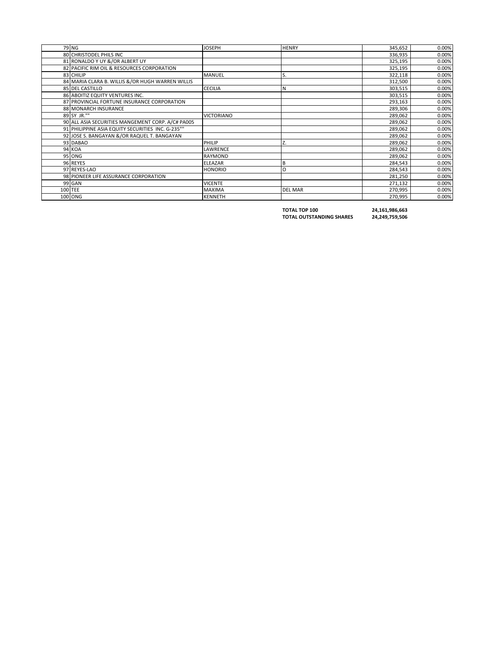| 79 NG                                             | <b>JOSEPH</b>     | <b>HENRY</b>   | 345,652 | 0.00% |
|---------------------------------------------------|-------------------|----------------|---------|-------|
| 80 CHRISTODEL PHILS INC                           |                   |                | 336,935 | 0.00% |
| 81 RONALDO Y UY &/OR ALBERT UY                    |                   |                | 325,195 | 0.00% |
| 82 PACIFIC RIM OIL & RESOURCES CORPORATION        |                   |                | 325,195 | 0.00% |
| 83 CHILIP                                         | <b>MANUEL</b>     | S.             | 322,118 | 0.00% |
| 84 MARIA CLARA B. WILLIS &/OR HUGH WARREN WILLIS  |                   |                | 312,500 | 0.00% |
| 85 DEL CASTILLO                                   | <b>CECILIA</b>    |                | 303,515 | 0.00% |
| 86 ABOITIZ EQUITY VENTURES INC.                   |                   |                | 303,515 | 0.00% |
| 87 PROVINCIAL FORTUNE INSURANCE CORPORATION       |                   |                | 293,163 | 0.00% |
| 88 MONARCH INSURANCE                              |                   |                | 289,306 | 0.00% |
| 89 SY JR.""                                       | <b>VICTORIANO</b> |                | 289,062 | 0.00% |
| 90 ALL ASIA SECURITIES MANGEMENT CORP. A/C# PA005 |                   |                | 289,062 | 0.00% |
| 91 PHILIPPINE ASIA EQUITY SECURITIES INC. G-235"" |                   |                | 289,062 | 0.00% |
| 92 JOSE S. BANGAYAN &/OR RAQUEL T. BANGAYAN       |                   |                | 289,062 | 0.00% |
| 93 DABAO                                          | PHILIP            | Z.             | 289,062 | 0.00% |
| <b>94 KOA</b>                                     | LAWRENCE          |                | 289,062 | 0.00% |
| <b>95 ONG</b>                                     | <b>RAYMOND</b>    |                | 289,062 | 0.00% |
| 96 REYES                                          | <b>ELEAZAR</b>    | B              | 284,543 | 0.00% |
| 97 REYES-LAO                                      | <b>HONORIO</b>    | O              | 284,543 | 0.00% |
| 98 PIONEER LIFE ASSURANCE CORPORATION             |                   |                | 281,250 | 0.00% |
| 99 GAN                                            | <b>VICENTE</b>    |                | 271,132 | 0.00% |
| 100 TEE                                           | <b>MAXIMA</b>     | <b>DEL MAR</b> | 270,995 | 0.00% |
| 100 ONG                                           | <b>KENNETH</b>    |                | 270,995 | 0.00% |

**TOTAL TOP 100 24,161,986,663**

**TOTAL OUTSTANDING SHARES 24,249,759,506**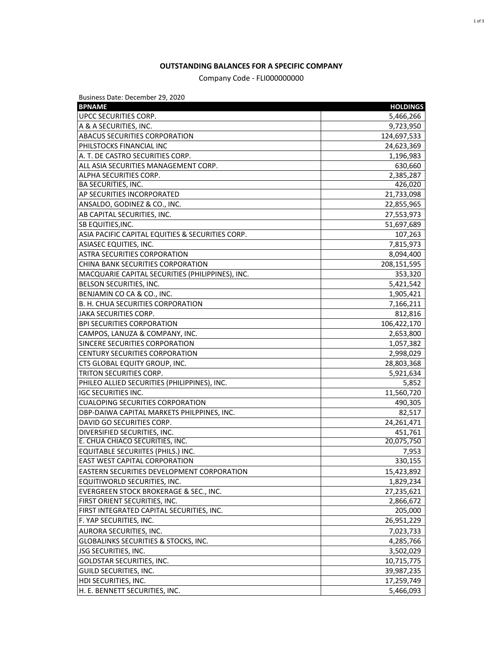### **OUTSTANDING BALANCES FOR A SPECIFIC COMPANY**

## Company Code - FLI000000000

Business Date: December 29, 2020

| <b>BPNAME</b>                                    | <b>HOLDINGS</b> |
|--------------------------------------------------|-----------------|
| UPCC SECURITIES CORP.                            | 5,466,266       |
| A & A SECURITIES, INC.                           | 9,723,950       |
| ABACUS SECURITIES CORPORATION                    | 124,697,533     |
| PHILSTOCKS FINANCIAL INC                         | 24,623,369      |
| A. T. DE CASTRO SECURITIES CORP.                 | 1,196,983       |
| ALL ASIA SECURITIES MANAGEMENT CORP.             | 630,660         |
| ALPHA SECURITIES CORP.                           | 2,385,287       |
| <b>BA SECURITIES, INC.</b>                       | 426,020         |
| <b>AP SECURITIES INCORPORATED</b>                | 21,733,098      |
| ANSALDO, GODINEZ & CO., INC.                     | 22,855,965      |
| AB CAPITAL SECURITIES, INC.                      | 27,553,973      |
| <b>SB EQUITIES, INC.</b>                         | 51,697,689      |
| ASIA PACIFIC CAPITAL EQUITIES & SECURITIES CORP. | 107,263         |
| ASIASEC EQUITIES, INC.                           | 7,815,973       |
| <b>ASTRA SECURITIES CORPORATION</b>              | 8,094,400       |
| CHINA BANK SECURITIES CORPORATION                | 208,151,595     |
| MACQUARIE CAPITAL SECURITIES (PHILIPPINES), INC. | 353,320         |
| BELSON SECURITIES, INC.                          | 5,421,542       |
| BENJAMIN CO CA & CO., INC.                       | 1,905,421       |
| B. H. CHUA SECURITIES CORPORATION                | 7,166,211       |
| JAKA SECURITIES CORP.                            | 812,816         |
| <b>BPI SECURITIES CORPORATION</b>                | 106,422,170     |
| CAMPOS, LANUZA & COMPANY, INC.                   | 2,653,800       |
| SINCERE SECURITIES CORPORATION                   | 1,057,382       |
| CENTURY SECURITIES CORPORATION                   | 2,998,029       |
| CTS GLOBAL EQUITY GROUP, INC.                    | 28,803,368      |
| TRITON SECURITIES CORP.                          | 5,921,634       |
| PHILEO ALLIED SECURITIES (PHILIPPINES), INC.     | 5,852           |
| <b>IGC SECURITIES INC.</b>                       | 11,560,720      |
| <b>CUALOPING SECURITIES CORPORATION</b>          | 490,305         |
| DBP-DAIWA CAPITAL MARKETS PHILPPINES, INC.       | 82,517          |
| DAVID GO SECURITIES CORP.                        | 24,261,471      |
| DIVERSIFIED SECURITIES, INC.                     | 451,761         |
| E. CHUA CHIACO SECURITIES, INC.                  | 20,075,750      |
| EQUITABLE SECURIITES (PHILS.) INC.               | 7,953           |
| <b>EAST WEST CAPITAL CORPORATION</b>             | 330,155         |
| EASTERN SECURITIES DEVELOPMENT CORPORATION       | 15,423,892      |
| EQUITIWORLD SECURITIES, INC.                     | 1,829,234       |
| EVERGREEN STOCK BROKERAGE & SEC., INC.           | 27,235,621      |
| FIRST ORIENT SECURITIES, INC.                    | 2,866,672       |
| FIRST INTEGRATED CAPITAL SECURITIES, INC.        | 205,000         |
| F. YAP SECURITIES, INC.                          | 26,951,229      |
| AURORA SECURITIES, INC.                          | 7,023,733       |
| GLOBALINKS SECURITIES & STOCKS, INC.             | 4,285,766       |
| JSG SECURITIES, INC.                             | 3,502,029       |
| GOLDSTAR SECURITIES, INC.                        | 10,715,775      |
| GUILD SECURITIES, INC.                           | 39,987,235      |
| HDI SECURITIES, INC.                             | 17,259,749      |
| H. E. BENNETT SECURITIES, INC.                   | 5,466,093       |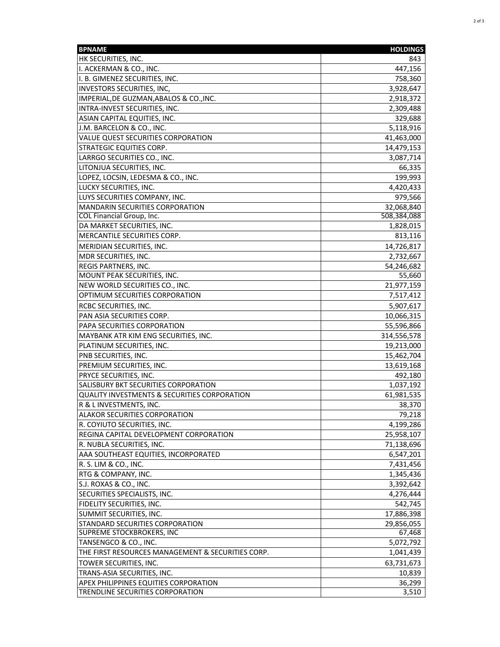| <b>BPNAME</b>                                              | <b>HOLDINGS</b>      |
|------------------------------------------------------------|----------------------|
| HK SECURITIES, INC.                                        | 843                  |
| I. ACKERMAN & CO., INC.                                    | 447,156              |
| I. B. GIMENEZ SECURITIES, INC.                             | 758,360              |
| INVESTORS SECURITIES, INC,                                 | 3,928,647            |
| IMPERIAL, DE GUZMAN, ABALOS & CO., INC.                    | 2,918,372            |
| INTRA-INVEST SECURITIES, INC.                              | 2,309,488            |
| ASIAN CAPITAL EQUITIES, INC.                               | 329,688              |
| J.M. BARCELON & CO., INC.                                  | 5,118,916            |
| VALUE QUEST SECURITIES CORPORATION                         | 41,463,000           |
| STRATEGIC EQUITIES CORP.                                   | 14,479,153           |
| LARRGO SECURITIES CO., INC.                                | 3,087,714            |
| LITONJUA SECURITIES, INC.                                  | 66,335               |
| LOPEZ, LOCSIN, LEDESMA & CO., INC.                         | 199,993              |
| LUCKY SECURITIES, INC.                                     | 4,420,433            |
| LUYS SECURITIES COMPANY, INC.                              | 979,566              |
| MANDARIN SECURITIES CORPORATION                            | 32,068,840           |
| COL Financial Group, Inc.                                  | 508,384,088          |
| DA MARKET SECURITIES, INC.                                 | 1,828,015            |
| MERCANTILE SECURITIES CORP.                                | 813,116              |
| MERIDIAN SECURITIES, INC.                                  | 14,726,817           |
| MDR SECURITIES, INC.                                       | 2,732,667            |
|                                                            |                      |
| <b>REGIS PARTNERS, INC.</b><br>MOUNT PEAK SECURITIES, INC. | 54,246,682<br>55,660 |
| NEW WORLD SECURITIES CO., INC.                             | 21,977,159           |
| OPTIMUM SECURITIES CORPORATION                             |                      |
|                                                            | 7,517,412            |
| <b>RCBC SECURITIES, INC.</b>                               | 5,907,617            |
| PAN ASIA SECURITIES CORP.                                  | 10,066,315           |
| PAPA SECURITIES CORPORATION                                | 55,596,866           |
| MAYBANK ATR KIM ENG SECURITIES, INC.                       | 314,556,578          |
| PLATINUM SECURITIES, INC.                                  | 19,213,000           |
| PNB SECURITIES, INC.                                       | 15,462,704           |
| PREMIUM SECURITIES, INC.                                   | 13,619,168           |
| PRYCE SECURITIES, INC.                                     | 492,180              |
| SALISBURY BKT SECURITIES CORPORATION                       | 1,037,192            |
| QUALITY INVESTMENTS & SECURITIES CORPORATION               | 61,981,535           |
| R & L INVESTMENTS, INC.                                    | 38,370               |
| ALAKOR SECURITIES CORPORATION                              | 79,218               |
| R. COYIUTO SECURITIES, INC.                                | 4,199,286            |
| REGINA CAPITAL DEVELOPMENT CORPORATION                     | 25,958,107           |
| R. NUBLA SECURITIES, INC.                                  | 71,138,696           |
| AAA SOUTHEAST EQUITIES, INCORPORATED                       | 6,547,201            |
| R. S. LIM & CO., INC.                                      | 7,431,456            |
| RTG & COMPANY, INC.                                        | 1,345,436            |
| S.J. ROXAS & CO., INC.                                     | 3,392,642            |
| SECURITIES SPECIALISTS, INC.                               | 4,276,444            |
| FIDELITY SECURITIES, INC.                                  | 542,745              |
| SUMMIT SECURITIES, INC.                                    | 17,886,398           |
| STANDARD SECURITIES CORPORATION                            | 29,856,055           |
| SUPREME STOCKBROKERS, INC                                  | 67,468               |
| TANSENGCO & CO., INC.                                      | 5,072,792            |
| THE FIRST RESOURCES MANAGEMENT & SECURITIES CORP.          | 1,041,439            |
| TOWER SECURITIES, INC.                                     | 63,731,673           |
| TRANS-ASIA SECURITIES, INC.                                | 10,839               |
| <b>APEX PHILIPPINES EQUITIES CORPORATION</b>               | 36,299               |
| TRENDLINE SECURITIES CORPORATION                           | 3,510                |